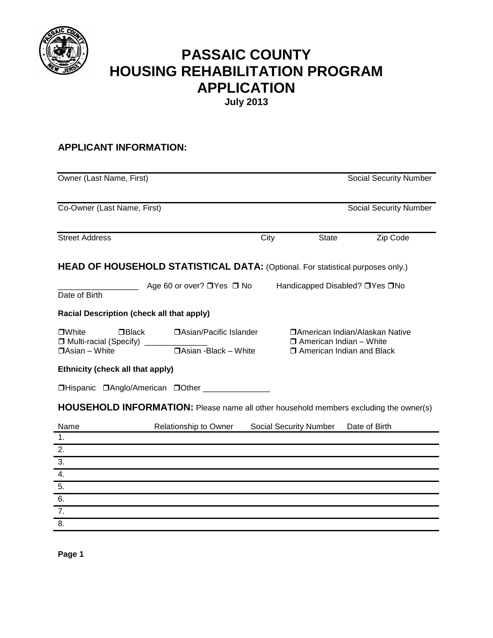

# **PASSAIC COUNTY HOUSING REHABILITATION PROGRAM APPLICATION**

**July 2013**

# **APPLICANT INFORMATION:**

| Owner (Last Name, First)                                                                                                              |      |                                                               | <b>Social Security Number</b>   |
|---------------------------------------------------------------------------------------------------------------------------------------|------|---------------------------------------------------------------|---------------------------------|
| Co-Owner (Last Name, First)                                                                                                           |      |                                                               | <b>Social Security Number</b>   |
| <b>Street Address</b>                                                                                                                 | City | <b>State</b>                                                  | Zip Code                        |
| <b>HEAD OF HOUSEHOLD STATISTICAL DATA: (Optional. For statistical purposes only.)</b>                                                 |      |                                                               |                                 |
| Age 60 or over? □ Yes □ No<br>Date of Birth                                                                                           |      | Handicapped Disabled? □ Yes □ No                              |                                 |
| <b>Racial Description (check all that apply)</b>                                                                                      |      |                                                               |                                 |
| $\Box$ Black<br><b>DAsian/Pacific Islander</b><br>□White<br>□ Multi-racial (Specify)<br>□Asian -Black - White<br>$\Box$ Asian - White |      | $\Box$ American Indian – White<br>□ American Indian and Black | □American Indian/Alaskan Native |
| Ethnicity (check all that apply)                                                                                                      |      |                                                               |                                 |
| □Hispanic □Anglo/American □Other ______________                                                                                       |      |                                                               |                                 |
| HOUSEHOLD INFORMATION: Please name all other household members excluding the owner(s)                                                 |      |                                                               |                                 |
| Name<br>Relationship to Owner<br>1 <sub>1</sub>                                                                                       |      | Social Security Number                                        | Date of Birth                   |
| 2.                                                                                                                                    |      |                                                               |                                 |
| 3.                                                                                                                                    |      |                                                               |                                 |
| 4.                                                                                                                                    |      |                                                               |                                 |
| 5.                                                                                                                                    |      |                                                               |                                 |
| 6.                                                                                                                                    |      |                                                               |                                 |
| 7.                                                                                                                                    |      |                                                               |                                 |
| 8.                                                                                                                                    |      |                                                               |                                 |

**Page 1**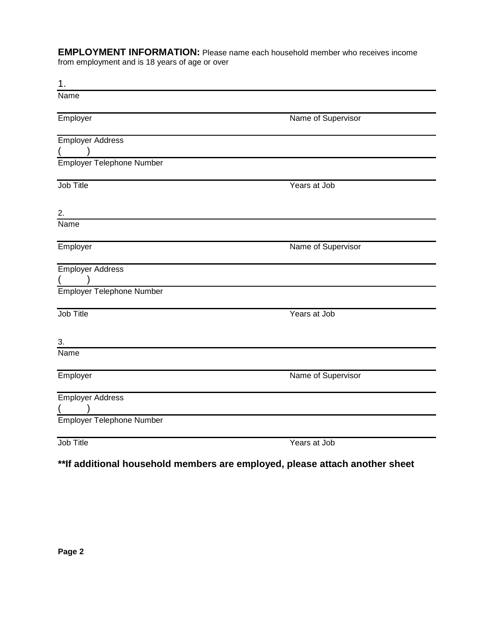**EMPLOYMENT INFORMATION:** Please name each household member who receives income from employment and is 18 years of age or over

| 1.                               |                    |
|----------------------------------|--------------------|
| <b>Name</b>                      |                    |
|                                  |                    |
| Employer                         | Name of Supervisor |
|                                  |                    |
| <b>Employer Address</b>          |                    |
| Employer Telephone Number        |                    |
|                                  |                    |
| Job Title                        | Years at Job       |
|                                  |                    |
| 2.                               |                    |
| Name                             |                    |
|                                  |                    |
| Employer                         | Name of Supervisor |
|                                  |                    |
| <b>Employer Address</b>          |                    |
|                                  |                    |
| Employer Telephone Number        |                    |
|                                  |                    |
| Job Title                        | Years at Job       |
|                                  |                    |
| 3.                               |                    |
| Name                             |                    |
| Employer                         | Name of Supervisor |
|                                  |                    |
| <b>Employer Address</b>          |                    |
|                                  |                    |
| <b>Employer Telephone Number</b> |                    |
|                                  |                    |
| Job Title                        | Years at Job       |

# **\*\*If additional household members are employed, please attach another sheet**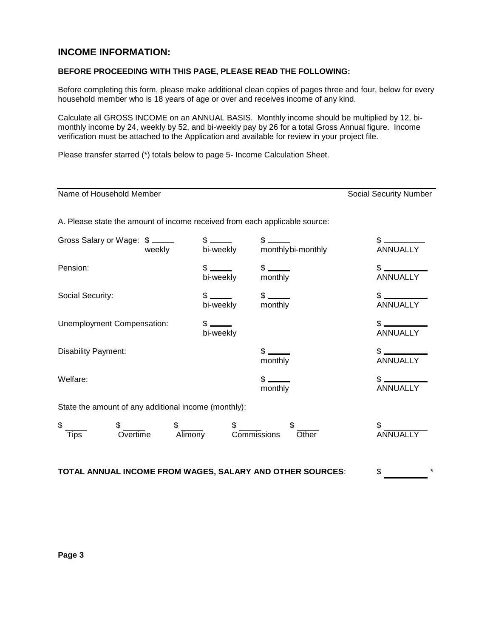## **INCOME INFORMATION:**

### **BEFORE PROCEEDING WITH THIS PAGE, PLEASE READ THE FOLLOWING:**

Before completing this form, please make additional clean copies of pages three and four, below for every household member who is 18 years of age or over and receives income of any kind.

Calculate all GROSS INCOME on an ANNUAL BASIS. Monthly income should be multiplied by 12, bimonthly income by 24, weekly by 52, and bi-weekly pay by 26 for a total Gross Annual figure. Income verification must be attached to the Application and available for review in your project file.

Please transfer starred (\*) totals below to page 5- Income Calculation Sheet.

| Name of Household Member                                                   |               |                                                                                                                                                                                                                                                                                                                                  |                                              | <b>Social Security Number</b>    |
|----------------------------------------------------------------------------|---------------|----------------------------------------------------------------------------------------------------------------------------------------------------------------------------------------------------------------------------------------------------------------------------------------------------------------------------------|----------------------------------------------|----------------------------------|
| A. Please state the amount of income received from each applicable source: |               |                                                                                                                                                                                                                                                                                                                                  |                                              |                                  |
| Gross Salary or Wage: \$                                                   | weekly        | $\frac{1}{2}$                                                                                                                                                                                                                                                                                                                    | $\frac{1}{2}$<br>bi-weekly monthlybi-monthly | $\frac{1}{2}$<br><b>ANNUALLY</b> |
| Pension:                                                                   |               | $\frac{1}{2}$<br>bi-weekly monthly                                                                                                                                                                                                                                                                                               | $\frac{1}{2}$                                | $$$<br>ANNUALLY                  |
| Social Security:                                                           |               | $\frac{1}{2}$ $\frac{1}{2}$ $\frac{1}{2}$ $\frac{1}{2}$ $\frac{1}{2}$ $\frac{1}{2}$ $\frac{1}{2}$ $\frac{1}{2}$ $\frac{1}{2}$ $\frac{1}{2}$ $\frac{1}{2}$ $\frac{1}{2}$ $\frac{1}{2}$ $\frac{1}{2}$ $\frac{1}{2}$ $\frac{1}{2}$ $\frac{1}{2}$ $\frac{1}{2}$ $\frac{1}{2}$ $\frac{1}{2}$ $\frac{1}{2}$ $\frac{1}{2}$<br>bi-weekly | monthly                                      | $$$ $$$<br><b>ANNUALLY</b>       |
| Unemployment Compensation:                                                 |               | $s =$<br>bi-weekly                                                                                                                                                                                                                                                                                                               |                                              | $$$ $$$<br><b>ANNUALLY</b>       |
| Disability Payment:                                                        |               |                                                                                                                                                                                                                                                                                                                                  | $$$ $-$<br>monthly                           | $\frac{1}{2}$<br><b>ANNUALLY</b> |
| Welfare:                                                                   |               |                                                                                                                                                                                                                                                                                                                                  | $\frac{1}{2}$<br>monthly                     | $$$ $$$<br><b>ANNUALLY</b>       |
| State the amount of any additional income (monthly):                       |               |                                                                                                                                                                                                                                                                                                                                  |                                              |                                  |
| \$<br>Overtime<br><b>Tips</b>                                              | \$<br>Alimony | \$<br>Commissions                                                                                                                                                                                                                                                                                                                | Other                                        |                                  |

**TOTAL ANNUAL INCOME FROM WAGES, SALARY AND OTHER SOURCES**: \$ \*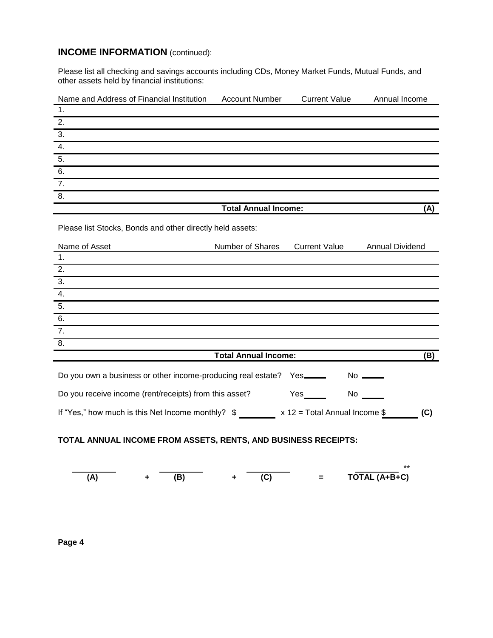## **INCOME INFORMATION** (continued):

Please list all checking and savings accounts including CDs, Money Market Funds, Mutual Funds, and other assets held by financial institutions:

| Name and Address of Financial Institution | Account Number              | <b>Current Value</b> | Annual Income |
|-------------------------------------------|-----------------------------|----------------------|---------------|
| $\blacksquare$                            |                             |                      |               |
| $\overline{2}$ .                          |                             |                      |               |
| $\overline{3}$ .                          |                             |                      |               |
| $\overline{4}$                            |                             |                      |               |
| $\overline{5}$ .                          |                             |                      |               |
| 6.                                        |                             |                      |               |
| $\overline{7}$ .                          |                             |                      |               |
| $\overline{8}$                            |                             |                      |               |
|                                           | <b>Total Annual Income:</b> |                      | (A)           |

Please list Stocks, Bonds and other directly held assets:

| Name of Asset    | Number of Shares Current Value | <b>Annual Dividend</b> |
|------------------|--------------------------------|------------------------|
| - 1.             |                                |                        |
| $\overline{2}$ . |                                |                        |
| $\overline{3}$ . |                                |                        |
| $\overline{4}$ . |                                |                        |
| $\overline{5}$ . |                                |                        |
| 6.               |                                |                        |
| $\overline{7}$ . |                                |                        |
| $\overline{8}$ . |                                |                        |
|                  | <b>Total Annual Income:</b>    | (B)                    |

|                                                        |                                 | No $\frac{1}{\sqrt{1-\frac{1}{2}}}\cdot$ |     |
|--------------------------------------------------------|---------------------------------|------------------------------------------|-----|
| Do you receive income (rent/receipts) from this asset? | Yes                             | No.                                      |     |
| If "Yes," how much is this Net Income monthly? \$      | $x 12$ = Total Annual Income \$ |                                          | (C) |

## **TOTAL ANNUAL INCOME FROM ASSETS, RENTS, AND BUSINESS RECEIPTS:**

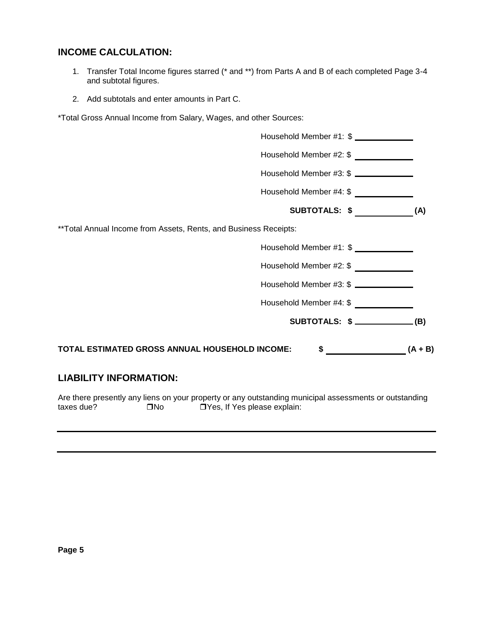## **INCOME CALCULATION:**

- 1. Transfer Total Income figures starred (\* and \*\*) from Parts A and B of each completed Page 3-4 and subtotal figures.
- 2. Add subtotals and enter amounts in Part C.

\*Total Gross Annual Income from Salary, Wages, and other Sources:



Are there presently any liens on your property or any outstanding municipal assessments or outstanding  $t$ axes due?  $\Box$ No  $\Box$ Yes, If Yes please explain: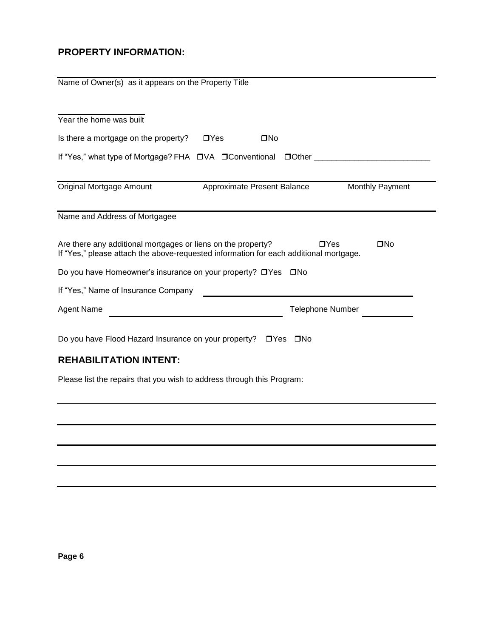## **PROPERTY INFORMATION:**

| Name of Owner(s) as it appears on the Property Title                                                                                                                                |
|-------------------------------------------------------------------------------------------------------------------------------------------------------------------------------------|
| Year the home was built                                                                                                                                                             |
| Is there a mortgage on the property?<br>$\Box$ Yes<br>$\square$ No                                                                                                                  |
|                                                                                                                                                                                     |
| Original Mortgage Amount<br><b>Monthly Payment</b><br>Approximate Present Balance                                                                                                   |
| Name and Address of Mortgagee                                                                                                                                                       |
| Are there any additional mortgages or liens on the property?<br>$\Box$ Yes<br>$\square$ No<br>If "Yes," please attach the above-requested information for each additional mortgage. |
| Do you have Homeowner's insurance on your property? □Yes □No                                                                                                                        |
| If "Yes," Name of Insurance Company                                                                                                                                                 |
| <b>Agent Name</b><br><b>Telephone Number</b>                                                                                                                                        |
| Do you have Flood Hazard Insurance on your property? □ Yes □ No                                                                                                                     |
| <b>REHABILITATION INTENT:</b>                                                                                                                                                       |
| Please list the repairs that you wish to address through this Program:                                                                                                              |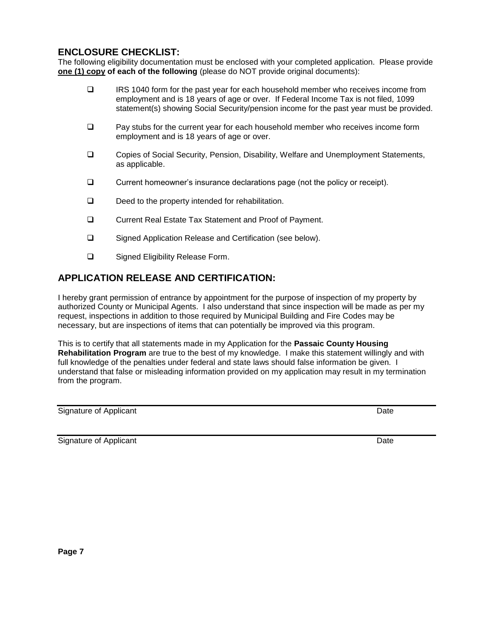## **ENCLOSURE CHECKLIST:**

The following eligibility documentation must be enclosed with your completed application. Please provide **one (1) copy of each of the following** (please do NOT provide original documents):

- IRS 1040 form for the past year for each household member who receives income from employment and is 18 years of age or over. If Federal Income Tax is not filed, 1099 statement(s) showing Social Security/pension income for the past year must be provided.
- $\Box$  Pay stubs for the current year for each household member who receives income form employment and is 18 years of age or over.
- Copies of Social Security, Pension, Disability, Welfare and Unemployment Statements, as applicable.
- $\Box$  Current homeowner's insurance declarations page (not the policy or receipt).
- $\Box$  Deed to the property intended for rehabilitation.
- Current Real Estate Tax Statement and Proof of Payment.
- □ Signed Application Release and Certification (see below).
- □ Signed Eligibility Release Form.

## **APPLICATION RELEASE AND CERTIFICATION:**

I hereby grant permission of entrance by appointment for the purpose of inspection of my property by authorized County or Municipal Agents. I also understand that since inspection will be made as per my request, inspections in addition to those required by Municipal Building and Fire Codes may be necessary, but are inspections of items that can potentially be improved via this program.

This is to certify that all statements made in my Application for the **Passaic County Housing Rehabilitation Program** are true to the best of my knowledge. I make this statement willingly and with full knowledge of the penalties under federal and state laws should false information be given. I understand that false or misleading information provided on my application may result in my termination from the program.

Signature of Applicant Date

Signature of Applicant Date of Applicant Date of Applicant Date of Applicant Date of Applicant Date of Applicant Date of Applicant Date of Applicant Date of Applicant Date of Applicant Date of Applicant Date of Applicant D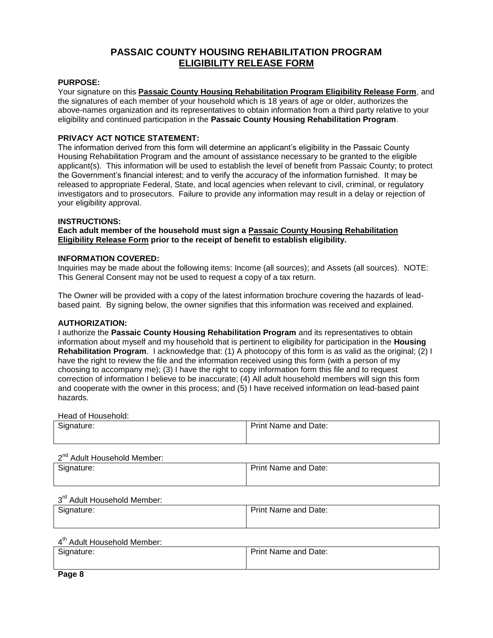## **PASSAIC COUNTY HOUSING REHABILITATION PROGRAM ELIGIBILITY RELEASE FORM**

#### **PURPOSE:**

Your signature on this **Passaic County Housing Rehabilitation Program Eligibility Release Form**, and the signatures of each member of your household which is 18 years of age or older, authorizes the above-names organization and its representatives to obtain information from a third party relative to your eligibility and continued participation in the **Passaic County Housing Rehabilitation Program**.

#### **PRIVACY ACT NOTICE STATEMENT:**

The information derived from this form will determine an applicant's eligibility in the Passaic County Housing Rehabilitation Program and the amount of assistance necessary to be granted to the eligible applicant(s). This information will be used to establish the level of benefit from Passaic County; to protect the Government's financial interest; and to verify the accuracy of the information furnished. It may be released to appropriate Federal, State, and local agencies when relevant to civil, criminal, or regulatory investigators and to prosecutors. Failure to provide any information may result in a delay or rejection of your eligibility approval.

#### **INSTRUCTIONS:**

**Each adult member of the household must sign a Passaic County Housing Rehabilitation Eligibility Release Form prior to the receipt of benefit to establish eligibility.** 

#### **INFORMATION COVERED:**

Inquiries may be made about the following items: Income (all sources); and Assets (all sources). NOTE: This General Consent may not be used to request a copy of a tax return.

The Owner will be provided with a copy of the latest information brochure covering the hazards of leadbased paint. By signing below, the owner signifies that this information was received and explained.

#### **AUTHORIZATION:**

I authorize the **Passaic County Housing Rehabilitation Program** and its representatives to obtain information about myself and my household that is pertinent to eligibility for participation in the **Housing Rehabilitation Program**. I acknowledge that: (1) A photocopy of this form is as valid as the original; (2) I have the right to review the file and the information received using this form (with a person of my choosing to accompany me); (3) I have the right to copy information form this file and to request correction of information I believe to be inaccurate; (4) All adult household members will sign this form and cooperate with the owner in this process; and (5) I have received information on lead-based paint hazards.

Head of Household:

| $\sim$<br>Signature: | <b>Print Name and Date:</b> |
|----------------------|-----------------------------|
|                      |                             |

2<sup>nd</sup> Adult Household Member:

| Signature: | <b>Print Name and Date:</b> |
|------------|-----------------------------|
|            |                             |

#### 3<sup>rd</sup> Adult Household Member:

| Signature: | <b>Print Name and Date:</b> |
|------------|-----------------------------|
|            |                             |

#### 4<sup>th</sup> Adult Household Member:

| Signature: | <b>Print Name and Date:</b> |
|------------|-----------------------------|
|            |                             |